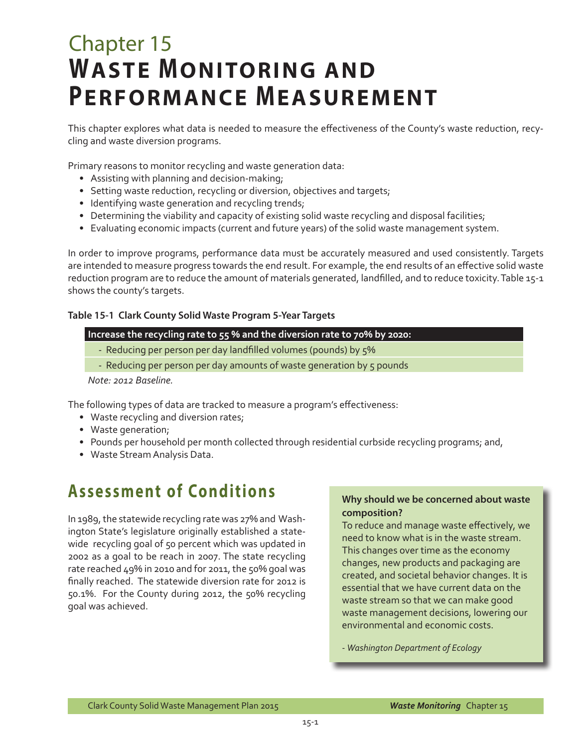# Chapter 15 **WASTE MONITORING AND PERFORMANCE MEASUREMENT**

This chapter explores what data is needed to measure the effectiveness of the County's waste reduction, recycling and waste diversion programs.

Primary reasons to monitor recycling and waste generation data:

- Assisting with planning and decision-making;
- Setting waste reduction, recycling or diversion, objectives and targets;
- Identifying waste generation and recycling trends;
- Determining the viability and capacity of existing solid waste recycling and disposal facilities;
- Evaluating economic impacts (current and future years) of the solid waste management system.

In order to improve programs, performance data must be accurately measured and used consistently. Targets are intended to measure progress towards the end result. For example, the end results of an effective solid waste reduction program are to reduce the amount of materials generated, landfilled, and to reduce toxicity. Table 15-1 shows the county's targets.

#### **Table 15-1 Clark County Solid Waste Program 5-Year Targets**

#### **Increase the recycling rate to 55 % and the diversion rate to 70% by 2020:**

- Reducing per person per day landfilled volumes (pounds) by 5%
- Reducing per person per day amounts of waste generation by 5 pounds

*Note: 2012 Baseline.* 

The following types of data are tracked to measure a program's effectiveness:

- Waste recycling and diversion rates;
- Waste generation;
- Pounds per household per month collected through residential curbside recycling programs; and,
- Waste Stream Analysis Data.

### **Assessment of Conditions**

In 1989, the statewide recycling rate was 27% and Washington State's legislature originally established a statewide recycling goal of 50 percent which was updated in 2002 as a goal to be reach in 2007. The state recycling rate reached 49% in 2010 and for 2011, the 50% goal was finally reached. The statewide diversion rate for 2012 is 50.1%. For the County during 2012, the 50% recycling goal was achieved.

#### **Why should we be concerned about waste composition?**

To reduce and manage waste effectively, we need to know what is in the waste stream. This changes over time as the economy changes, new products and packaging are created, and societal behavior changes. It is essential that we have current data on the waste stream so that we can make good waste management decisions, lowering our environmental and economic costs.

- *Washington Department of Ecology*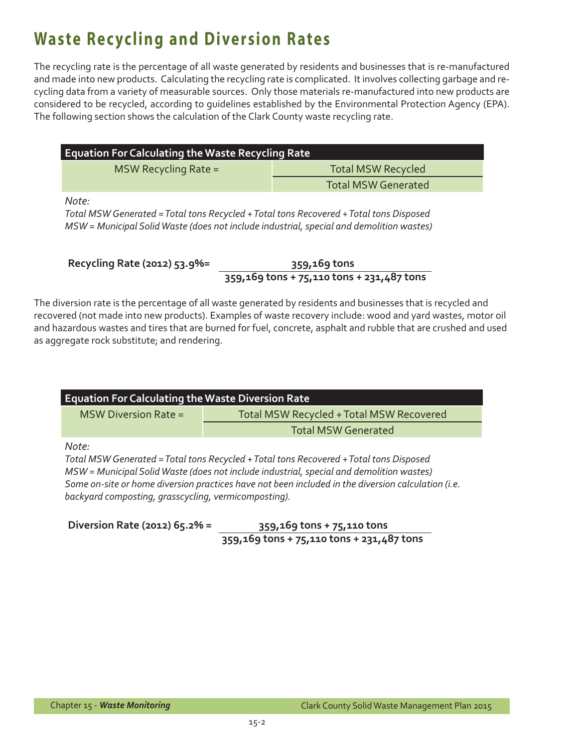## **Waste Recycling and Diversion Rates**

The recycling rate is the percentage of all waste generated by residents and businesses that is re-manufactured and made into new products. Calculating the recycling rate is complicated. It involves collecting garbage and recycling data from a variety of measurable sources. Only those materials re-manufactured into new products are considered to be recycled, according to guidelines established by the Environmental Protection Agency (EPA). The following section shows the calculation of the Clark County waste recycling rate.

| <b>Equation For Calculating the Waste Recycling Rate</b> |                            |  |  |  |  |
|----------------------------------------------------------|----------------------------|--|--|--|--|
| MSW Recycling Rate =                                     | <b>Total MSW Recycled</b>  |  |  |  |  |
|                                                          | <b>Total MSW Generated</b> |  |  |  |  |

*Note:* 

*Total MSW Generated = Total tons Recycled + Total tons Recovered + Total tons Disposed MSW = Municipal Solid Waste (does not include industrial, special and demolition wastes)*

**Recycling Rate (2012) 53.9%= 359,169 tons** 

 **359,169 tons + 75,110 tons + 231,487 tons**

The diversion rate is the percentage of all waste generated by residents and businesses that is recycled and recovered (not made into new products). Examples of waste recovery include: wood and yard wastes, motor oil and hazardous wastes and tires that are burned for fuel, concrete, asphalt and rubble that are crushed and used as aggregate rock substitute; and rendering.

| <b>Equation For Calculating the Waste Diversion Rate</b>      |                                                                                                                                                                                                                                                                                          |  |  |  |  |
|---------------------------------------------------------------|------------------------------------------------------------------------------------------------------------------------------------------------------------------------------------------------------------------------------------------------------------------------------------------|--|--|--|--|
| <b>MSW Diversion Rate =</b>                                   | Total MSW Recycled + Total MSW Recovered                                                                                                                                                                                                                                                 |  |  |  |  |
| <b>Total MSW Generated</b>                                    |                                                                                                                                                                                                                                                                                          |  |  |  |  |
| Note:<br>backyard composting, grasscycling, vermicomposting). | Total MSW Generated = Total tons Recycled + Total tons Recovered + Total tons Disposed<br>MSW = Municipal Solid Waste (does not include industrial, special and demolition wastes)<br>Some on-site or home diversion practices have not been included in the diversion calculation (i.e. |  |  |  |  |

**Diversion Rate (2012) 65.2% = 359,169 tons + 75,110 tons 359,169 tons + 75,110 tons + 231,487 tons**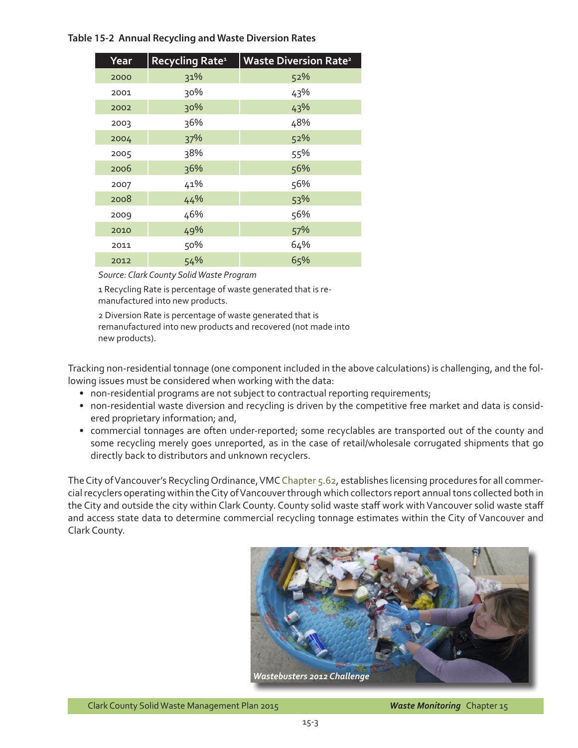#### **Table 15-2 Annual Recycling and Waste Diversion Rates**

| Year | Recycling Rate <sup>1</sup> | <b>Waste Diversion Rate<sup>2</sup></b> |
|------|-----------------------------|-----------------------------------------|
| 2000 | 31%                         | 52%                                     |
| 2001 | 30%                         | 43%                                     |
| 2002 | 30%                         | 43%                                     |
| 2003 | 36%                         | 48%                                     |
| 2004 | 37%                         | 52%                                     |
| 2005 | 38%                         | 55%                                     |
| 2006 | 36%                         | 56%                                     |
| 2007 | 41%                         | 56%                                     |
| 2008 | 44%                         | 53%                                     |
| 2009 | 46%                         | 56%                                     |
| 2010 | 49%                         | 57%                                     |
| 2011 | 50%                         | 64%                                     |
| 2012 | 54%                         | 65%                                     |

#### *Source: Clark County Solid Waste Program*

1 Recycling Rate is percentage of waste generated that is remanufactured into new products.

2 Diversion Rate is percentage of waste generated that is remanufactured into new products and recovered (not made into new products).

Tracking non-residential tonnage (one component included in the above calculations) is challenging, and the following issues must be considered when working with the data:

- non-residential programs are not subject to contractual reporting requirements;
- non-residential waste diversion and recycling is driven by the competitive free market and data is considered proprietary information; and,
- commercial tonnages are often under-reported; some recyclables are transported out of the county and some recycling merely goes unreported, as in the case of retail/wholesale corrugated shipments that go directly back to distributors and unknown recyclers.

The City of Vancouver's Recycling Ordinance, VMC [Chapter 5.62](http://www.cityofvancouver.us/vmc/6930/562001-definitions), establishes licensing procedures for all commercial recyclers operating within the City of Vancouver through which collectors report annual tons collected both in the City and outside the city within Clark County. County solid waste staff work with Vancouver solid waste staff and access state data to determine commercial recycling tonnage estimates within the City of Vancouver and Clark County.



Clark County Solid Waste Management Plan 2015

*Waste Monitoring* Chapter 15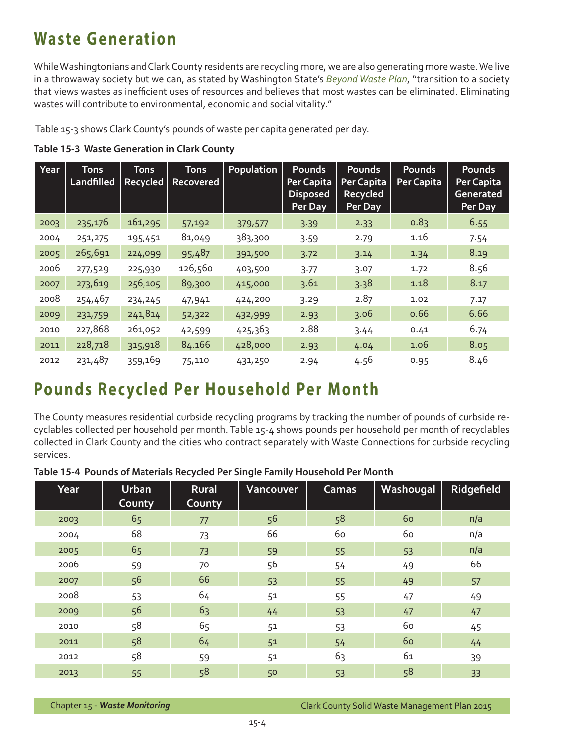### **Waste Generation**

While Washingtonians and Clark County residents are recycling more, we are also generating more waste. We live in a throwaway society but we can, as stated by Washington State's *[Beyond Waste Plan](http://www.ecy.wa.gov/beyondwaste/)*, "transition to a society that views wastes as inefficient uses of resources and believes that most wastes can be eliminated. Eliminating wastes will contribute to environmental, economic and social vitality."

Table 15-3 shows Clark County's pounds of waste per capita generated per day.

|  | Table 15-3 Waste Generation in Clark County |  |  |
|--|---------------------------------------------|--|--|
|  |                                             |  |  |

| Year | <b>Tons</b><br>Landfilled | <b>Tons</b><br><b>Recycled</b> | <b>Tons</b><br>Recovered | <b>Population</b> | Pounds<br>Per Capita<br><b>Disposed</b><br>Per Day | <b>Pounds</b><br>Per Capita<br>Recycled<br>Per Day | <b>Pounds</b><br>Per Capita | Pounds<br><b>Per Capita</b><br><b>Generated</b><br>Per Day |
|------|---------------------------|--------------------------------|--------------------------|-------------------|----------------------------------------------------|----------------------------------------------------|-----------------------------|------------------------------------------------------------|
| 2003 | 235,176                   | 161,295                        | 57,192                   | 379,577           | 3.39                                               | 2.33                                               | 0.83                        | 6.55                                                       |
| 2004 | 251,275                   | 195,451                        | 81,049                   | 383,300           | 3.59                                               | 2.79                                               | 1.16                        | 7.54                                                       |
| 2005 | 265,691                   | 224,099                        | 95,487                   | 391,500           | 3.72                                               | 3.14                                               | 1.34                        | 8.19                                                       |
| 2006 | 277,529                   | 225,930                        | 126,560                  | 403,500           | 3.77                                               | 3.07                                               | 1.72                        | 8.56                                                       |
| 2007 | 273,619                   | 256,105                        | 89,300                   | 415,000           | 3.61                                               | 3.38                                               | 1.18                        | 8.17                                                       |
| 2008 | 254,467                   | 234,245                        | 47,941                   | 424,200           | 3.29                                               | 2.87                                               | 1.02                        | 7.17                                                       |
| 2009 | 231,759                   | 241,814                        | 52,322                   | 432,999           | 2.93                                               | 3.06                                               | 0.66                        | 6.66                                                       |
| 2010 | 227,868                   | 261,052                        | 42,599                   | 425,363           | 2.88                                               | 3.44                                               | 0.41                        | 6.74                                                       |
| 2011 | 228,718                   | 315,918                        | 84.166                   | 428,000           | 2.93                                               | 4.04                                               | 1.06                        | 8.05                                                       |
| 2012 | 231,487                   | 359,169                        | 75,110                   | 431,250           | 2.94                                               | 4.56                                               | 0.95                        | 8.46                                                       |

### **Pounds Recycled Per Household Per Month**

The County measures residential curbside recycling programs by tracking the number of pounds of curbside recyclables collected per household per month. Table 15-4 shows pounds per household per month of recyclables collected in Clark County and the cities who contract separately with Waste Connections for curbside recycling services.

| Year | <b>Urban</b><br>County | <b>Rural</b><br>County | Vancouver | <b>Camas</b> | Washougal | Ridgefield |
|------|------------------------|------------------------|-----------|--------------|-----------|------------|
| 2003 | 65                     | 77                     | 56        | 58           | 60        | n/a        |
| 2004 | 68                     | 73                     | 66        | 60           | 60        | n/a        |
| 2005 | 65                     | 73                     | 59        | 55           | 53        | n/a        |
| 2006 | 59                     | 70                     | 56        | 54           | 49        | 66         |
| 2007 | 56                     | 66                     | 53        | 55           | 49        | 57         |
| 2008 | 53                     | 64                     | 51        | 55           | 47        | 49         |
| 2009 | 56                     | 63                     | 44        | 53           | 47        | 47         |
| 2010 | 58                     | 65                     | 51        | 53           | 60        | 45         |
| 2011 | 58                     | 64                     | 51        | 54           | 60        | 44         |
| 2012 | 58                     | 59                     | 51        | 63           | 61        | 39         |
| 2013 | 55                     | 58                     | 50        | 53           | 58        | 33         |

**Table 15-4 Pounds of Materials Recycled Per Single Family Household Per Month**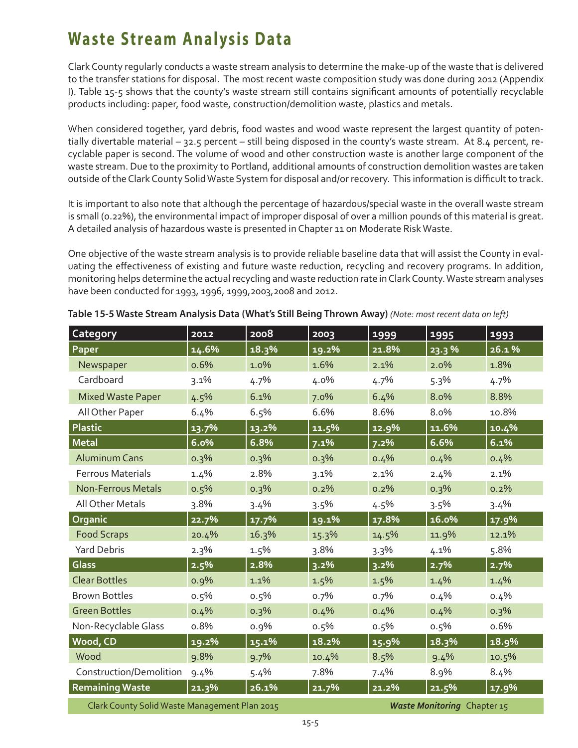### **Waste Stream Analysis Data**

Clark County regularly conducts a waste stream analysis to determine the make-up of the waste that is delivered to the transfer stations for disposal. The most recent waste composition study was done during 2012 (Appendix I). Table 15-5 shows that the county's waste stream still contains significant amounts of potentially recyclable products including: paper, food waste, construction/demolition waste, plastics and metals.

When considered together, yard debris, food wastes and wood waste represent the largest quantity of potentially divertable material – 32.5 percent – still being disposed in the county's waste stream. At 8.4 percent, recyclable paper is second. The volume of wood and other construction waste is another large component of the waste stream. Due to the proximity to Portland, additional amounts of construction demolition wastes are taken outside of the Clark County Solid Waste System for disposal and/or recovery. This information is difficult to track.

It is important to also note that although the percentage of hazardous/special waste in the overall waste stream is small (0.22%), the environmental impact of improper disposal of over a million pounds of this material is great. A detailed analysis of hazardous waste is presented in Chapter 11 on Moderate Risk Waste.

One objective of the waste stream analysis is to provide reliable baseline data that will assist the County in evaluating the effectiveness of existing and future waste reduction, recycling and recovery programs. In addition, monitoring helps determine the actual recycling and waste reduction rate in Clark County. Waste stream analyses have been conducted for 1993, 1996, 1999,2003,2008 and 2012.

| <b>Category</b>                                                              | 2012     | 2008  | 2003  | 1999  | 1995  | 1993  |  |
|------------------------------------------------------------------------------|----------|-------|-------|-------|-------|-------|--|
| Paper                                                                        | 14.6%    | 18.3% | 19.2% | 21.8% | 23.3% | 26.1% |  |
| Newspaper                                                                    | 0.6%     | 1.0%  | 1.6%  | 2.1%  | 2.0%  | 1.8%  |  |
| Cardboard                                                                    | 3.1%     | 4.7%  | 4.0%  | 4.7%  | 5.3%  | 4.7%  |  |
| <b>Mixed Waste Paper</b>                                                     | 4.5%     | 6.1%  | 7.0%  | 6.4%  | 8.0%  | 8.8%  |  |
| All Other Paper                                                              | 6.4%     | 6.5%  | 6.6%  | 8.6%  | 8.0%  | 10.8% |  |
| Plastic                                                                      | 13.7%    | 13.2% | 11.5% | 12.9% | 11.6% | 10.4% |  |
| <b>Metal</b>                                                                 | 6.0%     | 6.8%  | 7.1%  | 7.2%  | 6.6%  | 6.1%  |  |
| <b>Aluminum Cans</b>                                                         | 0.3%     | 0.3%  | 0.3%  | 0.4%  | 0.4%  | 0.4%  |  |
| <b>Ferrous Materials</b>                                                     | 1.4%     | 2.8%  | 3.1%  | 2.1%  | 2.4%  | 2.1%  |  |
| <b>Non-Ferrous Metals</b>                                                    | 0.5%     | 0.3%  | 0.2%  | 0.2%  | 0.3%  | 0.2%  |  |
| All Other Metals                                                             | 3.8%     | 3.4%  | 3.5%  | 4.5%  | 3.5%  | 3.4%  |  |
| Organic                                                                      | 22.7%    | 17.7% | 19.1% | 17.8% | 16.0% | 17.9% |  |
| <b>Food Scraps</b>                                                           | 20.4%    | 16.3% | 15.3% | 14.5% | 11.9% | 12.1% |  |
| <b>Yard Debris</b>                                                           | 2.3%     | 1.5%  | 3.8%  | 3.3%  | 4.1%  | 5.8%  |  |
| <b>Glass</b>                                                                 | 2.5%     | 2.8%  | 3.2%  | 3.2%  | 2.7%  | 2.7%  |  |
| <b>Clear Bottles</b>                                                         | 0.9%     | 1.1%  | 1.5%  | 1.5%  | 1.4%  | 1.4%  |  |
| <b>Brown Bottles</b>                                                         | 0.5%     | 0.5%  | 0.7%  | 0.7%  | 0.4%  | 0.4%  |  |
| <b>Green Bottles</b>                                                         | 0.4%     | 0.3%  | 0.4%  | 0.4%  | 0.4%  | 0.3%  |  |
| Non-Recyclable Glass                                                         | 0.8%     | 0.9%  | 0.5%  | 0.5%  | 0.5%  | 0.6%  |  |
| Wood, CD                                                                     | $19.2\%$ | 15.1% | 18.2% | 15.9% | 18.3% | 18.9% |  |
| Wood                                                                         | 9.8%     | 9.7%  | 10.4% | 8.5%  | 9.4%  | 10.5% |  |
| Construction/Demolition                                                      | 9.4%     | 5.4%  | 7.8%  | 7.4%  | 8.9%  | 8.4%  |  |
| <b>Remaining Waste</b>                                                       | 21.3%    | 26.1% | 21.7% | 21.2% | 21.5% | 17.9% |  |
| Clark County Solid Waste Management Plan 2015<br>Waste Monitoring Chapter 15 |          |       |       |       |       |       |  |

**Table 15-5 Waste Stream Analysis Data (What's Still Being Thrown Away)** *(Note: most recent data on left)*